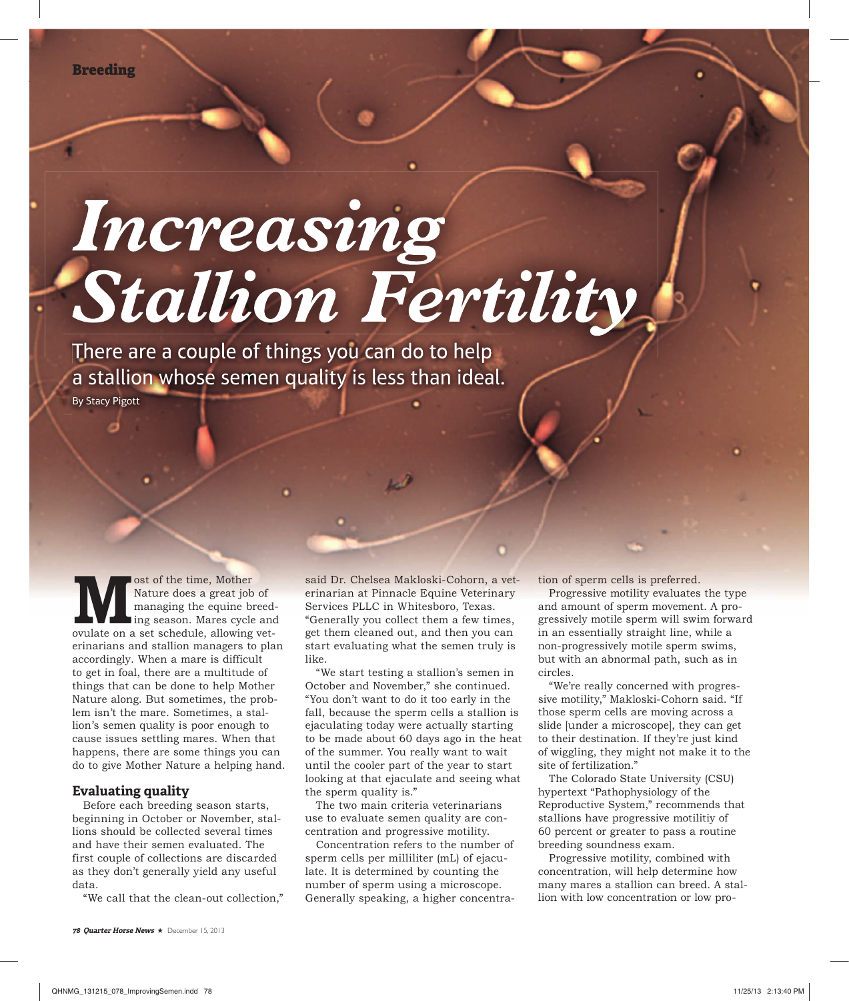# Increasing Stallion Fertility

There are a couple of things you can do to help a stallion whose semen quality is less than ideal.

By Stacy Pigott

**Most of the time, Mother Nature does a great job of managing the equine breed ing season. Mares cycle and ovulate on a set schedule, allowing vet-**Nature does a great job of managing the equine breeding season. Mares cycle and erinarians and stallion managers to plan accordingly. When a mare is difficult to get in foal, there are a multitude of things that can be done to help Mother Nature along. But sometimes, the problem isn't the mare. Sometimes, a stallion's semen quality is poor enough to cause issues settling mares. When that happens, there are some things you can do to give Mother Nature a helping hand.

#### **Evaluating quality**

Before each breeding season starts, beginning in October or November, stallions should be collected several times and have their semen evaluated. The first couple of collections are discarded as they don't generally yield any useful data.

"We call that the clean-out collection,"

said Dr. Chelsea Makloski-Cohorn, a veterinarian at Pinnacle Equine Veterinary Services PLLC in Whitesboro, Texas. "Generally you collect them a few times, get them cleaned out, and then you can start evaluating what the semen truly is like.

"We start testing a stallion's semen in October and November," she continued. "You don't want to do it too early in the fall, because the sperm cells a stallion is ejaculating today were actually starting to be made about 60 days ago in the heat of the summer. You really want to wait until the cooler part of the year to start looking at that ejaculate and seeing what the sperm quality is."

The two main criteria veterinarians use to evaluate semen quality are concentration and progressive motility.

Concentration refers to the number of sperm cells per milliliter (mL) of ejaculate. It is determined by counting the number of sperm using a microscope. Generally speaking, a higher concentration of sperm cells is preferred.

Progressive motility evaluates the type and amount of sperm movement. A progressively motile sperm will swim forward in an essentially straight line, while a non-progressively motile sperm swims, but with an abnormal path, such as in circles.

"We're really concerned with progressive motility," Makloski-Cohorn said. "If those sperm cells are moving across a slide [under a microscope], they can get to their destination. If they're just kind of wiggling, they might not make it to the site of fertilization."

The Colorado State University (CSU) hypertext "Pathophysiology of the Reproductive System," recommends that stallions have progressive motilitiy of 60 percent or greater to pass a routine breeding soundness exam.

Progressive motility, combined with concentration, will help determine how many mares a stallion can breed. A stallion with low concentration or low pro-

**78 Quarter Horse News** ★ December 15, 2013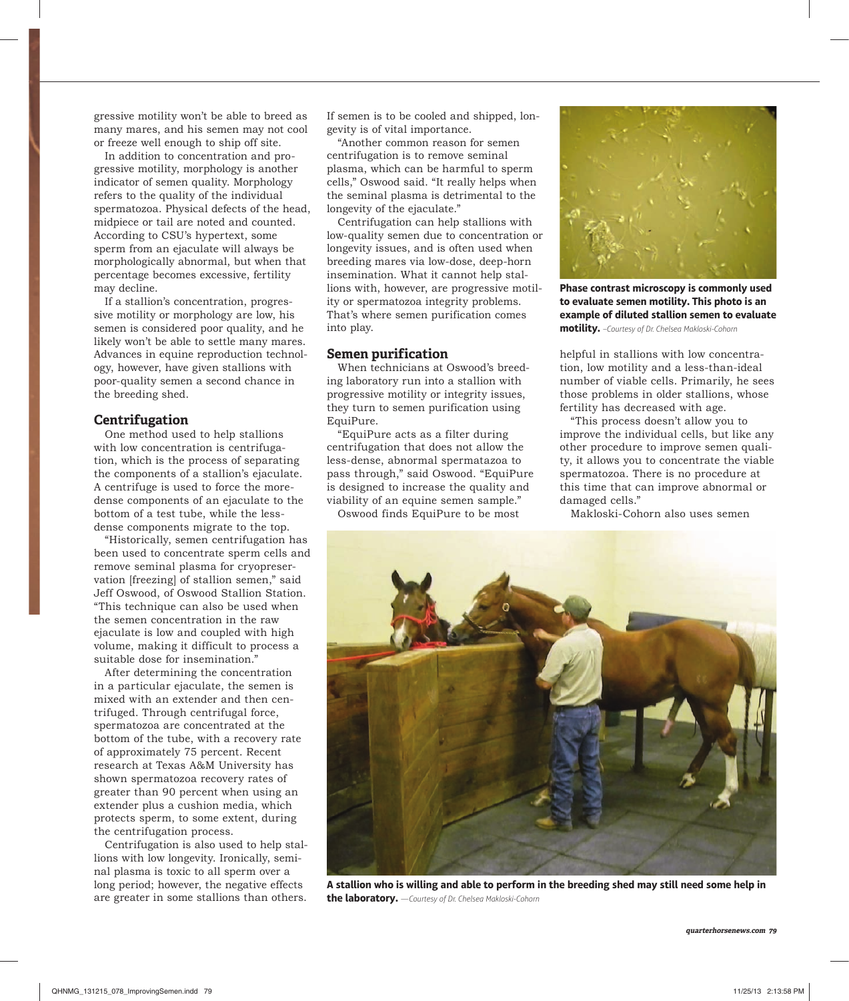gressive motility won't be able to breed as many mares, and his semen may not cool or freeze well enough to ship off site.

In addition to concentration and progressive motility, morphology is another indicator of semen quality. Morphology refers to the quality of the individual spermatozoa. Physical defects of the head, midpiece or tail are noted and counted. According to CSU's hypertext, some sperm from an ejaculate will always be morphologically abnormal, but when that percentage becomes excessive, fertility may decline.

If a stallion's concentration, progressive motility or morphology are low, his semen is considered poor quality, and he likely won't be able to settle many mares. Advances in equine reproduction technology, however, have given stallions with poor-quality semen a second chance in the breeding shed.

#### **Centrifugation**

One method used to help stallions with low concentration is centrifugation, which is the process of separating the components of a stallion's ejaculate. A centrifuge is used to force the moredense components of an ejaculate to the bottom of a test tube, while the lessdense components migrate to the top.

"Historically, semen centrifugation has been used to concentrate sperm cells and remove seminal plasma for cryopreservation [freezing] of stallion semen," said Jeff Oswood, of Oswood Stallion Station. "This technique can also be used when the semen concentration in the raw ejaculate is low and coupled with high volume, making it difficult to process a suitable dose for insemination."

After determining the concentration in a particular ejaculate, the semen is mixed with an extender and then centrifuged. Through centrifugal force, spermatozoa are concentrated at the bottom of the tube, with a recovery rate of approximately 75 percent. Recent research at Texas A&M University has shown spermatozoa recovery rates of greater than 90 percent when using an extender plus a cushion media, which protects sperm, to some extent, during the centrifugation process.

Centrifugation is also used to help stallions with low longevity. Ironically, seminal plasma is toxic to all sperm over a long period; however, the negative effects are greater in some stallions than others. If semen is to be cooled and shipped, longevity is of vital importance.

"Another common reason for semen centrifugation is to remove seminal plasma, which can be harmful to sperm cells," Oswood said. "It really helps when the seminal plasma is detrimental to the longevity of the ejaculate."

Centrifugation can help stallions with low-quality semen due to concentration or longevity issues, and is often used when breeding mares via low-dose, deep-horn insemination. What it cannot help stallions with, however, are progressive motility or spermatozoa integrity problems. That's where semen purification comes into play.

## **Semen purification**

When technicians at Oswood's breeding laboratory run into a stallion with progressive motility or integrity issues, they turn to semen purification using EquiPure.

"EquiPure acts as a filter during centrifugation that does not allow the less-dense, abnormal spermatazoa to pass through," said Oswood. "EquiPure is designed to increase the quality and viability of an equine semen sample." Oswood finds EquiPure to be most



**Phase contrast microscopy is commonly used to evaluate semen motility. This photo is an example of diluted stallion semen to evaluate motility.** *–Courtesy of Dr. Chelsea Makloski-Cohorn*

helpful in stallions with low concentration, low motility and a less-than-ideal number of viable cells. Primarily, he sees those problems in older stallions, whose fertility has decreased with age.

"This process doesn't allow you to improve the individual cells, but like any other procedure to improve semen quality, it allows you to concentrate the viable spermatozoa. There is no procedure at this time that can improve abnormal or damaged cells."

Makloski-Cohorn also uses semen



**A stallion who is willing and able to perform in the breeding shed may still need some help in the laboratory.** *—Courtesy of Dr. Chelsea Makloski-Cohorn*